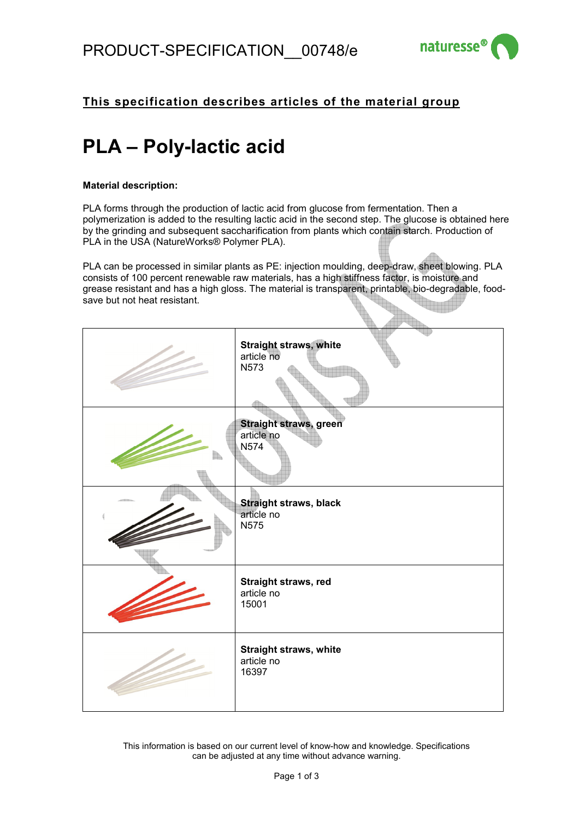

### **This specification describes articles of the material group**

# **PLA – Poly-lactic acid**

#### **Material description:**

PLA forms through the production of lactic acid from glucose from fermentation. Then a polymerization is added to the resulting lactic acid in the second step. The glucose is obtained here by the grinding and subsequent saccharification from plants which contain starch. Production of PLA in the USA (NatureWorks® Polymer PLA).

PLA can be processed in similar plants as PE: injection moulding, deep-draw, sheet blowing. PLA consists of 100 percent renewable raw materials, has a high stiffness factor, is moisture and grease resistant and has a high gloss. The material is transparent, printable, bio-degradable, foodsave but not heat resistant.

| Straight straws, white<br>article no<br>N573         |
|------------------------------------------------------|
| Straight straws, green<br>article no<br>N574         |
| <b>Straight straws, black</b><br>article no<br>N575  |
| Straight straws, red<br>article no<br>15001          |
| <b>Straight straws, white</b><br>article no<br>16397 |

This information is based on our current level of know-how and knowledge. Specifications can be adjusted at any time without advance warning.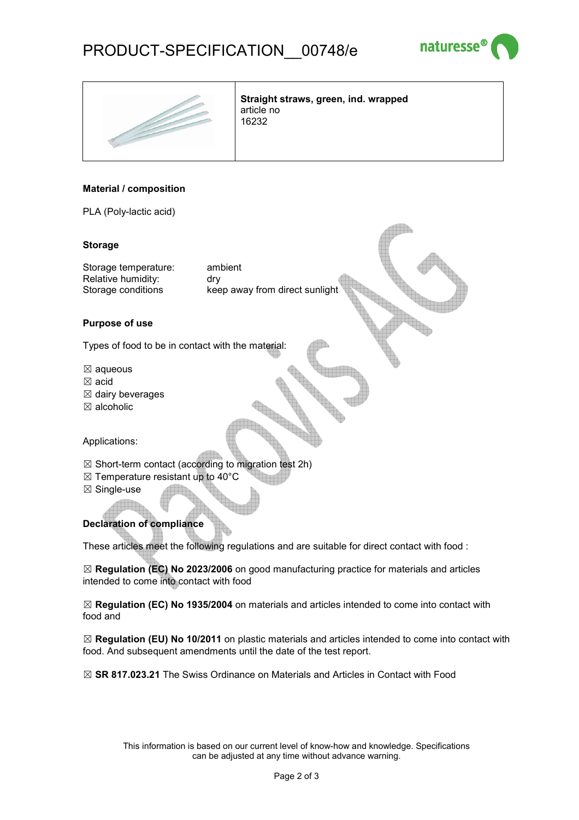## PRODUCT-SPECIFICATION\_\_00748/e





**Straight straws, green, ind. wrapped**  article no 16232

#### **Material / composition**

PLA (Poly-lactic acid)

#### **Storage**

Storage temperature: ambient Relative humidity: drv

Storage conditions keep away from direct sunlight

#### **Purpose of use**

Types of food to be in contact with the material:

- $\boxtimes$  aqueous
- ☒ acid
- $\boxtimes$  dairy beverages
- ☒ alcoholic

Applications:

- $\boxtimes$  Short-term contact (according to migration test 2h)
- $\boxtimes$  Temperature resistant up to 40°C
- ☒ Single-use

#### **Declaration of compliance**

These articles meet the following regulations and are suitable for direct contact with food :

☒ **Regulation (EC) No 2023/2006** on good manufacturing practice for materials and articles intended to come into contact with food

☒ **Regulation (EC) No 1935/2004** on materials and articles intended to come into contact with food and

☒ **Regulation (EU) No 10/2011** on plastic materials and articles intended to come into contact with food. And subsequent amendments until the date of the test report.

☒ **SR 817.023.21** The Swiss Ordinance on Materials and Articles in Contact with Food

This information is based on our current level of know-how and knowledge. Specifications can be adjusted at any time without advance warning.